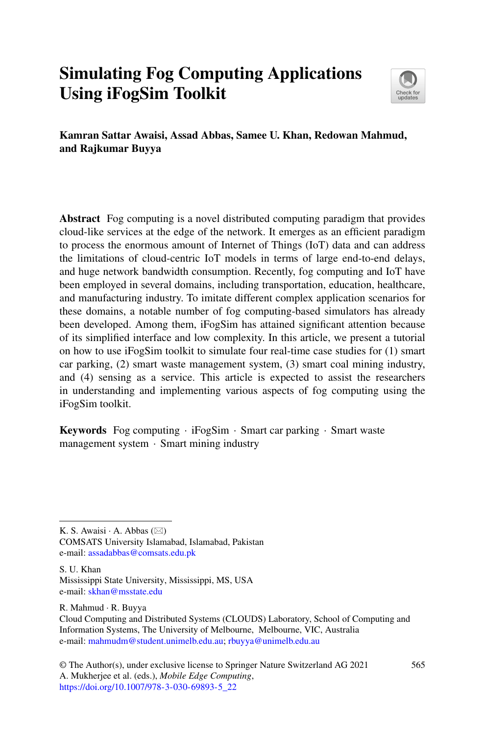# **Simulating Fog Computing Applications Using iFogSim Toolkit**



**Kamran Sattar Awaisi, Assad Abbas, Samee U. Khan, Redowan Mahmud, and Rajkumar Buyya**

**Abstract** Fog computing is a novel distributed computing paradigm that provides cloud-like services at the edge of the network. It emerges as an efficient paradigm to process the enormous amount of Internet of Things (IoT) data and can address the limitations of cloud-centric IoT models in terms of large end-to-end delays, and huge network bandwidth consumption. Recently, fog computing and IoT have been employed in several domains, including transportation, education, healthcare, and manufacturing industry. To imitate different complex application scenarios for these domains, a notable number of fog computing-based simulators has already been developed. Among them, iFogSim has attained significant attention because of its simplified interface and low complexity. In this article, we present a tutorial on how to use iFogSim toolkit to simulate four real-time case studies for (1) smart car parking, (2) smart waste management system, (3) smart coal mining industry, and (4) sensing as a service. This article is expected to assist the researchers in understanding and implementing various aspects of fog computing using the iFogSim toolkit.

**Keywords** Fog computing · iFogSim · Smart car parking · Smart waste management system · Smart mining industry

K. S. Awaisi  $\cdot$  A. Abbas ( $\boxtimes$ ) COMSATS University Islamabad, Islamabad, Pakistan e-mail: [assadabbas@comsats.edu.pk](mailto:assadabbas@comsats.edu.pk)

S. U. Khan Mississippi State University, Mississippi, MS, USA e-mail: [skhan@msstate.edu](mailto:skhan@msstate.edu)

R. Mahmud · R. Buyya

Cloud Computing and Distributed Systems (CLOUDS) Laboratory, School of Computing and Information Systems, The University of Melbourne, Melbourne, VIC, Australia e-mail: [mahmudm@student.unimelb.edu.au;](mailto:mahmudm@student.unimelb.edu.au) [rbuyya@unimelb.edu.au](mailto:rbuyya@unimelb.edu.au)

<sup>©</sup> The Author(s), under exclusive license to Springer Nature Switzerland AG 2021 A. Mukherjee et al. (eds.), *Mobile Edge Computing*, [https://doi.org/10.1007/978-3-030-69893-5\\_22](https://doi.org/10.1007/978-3-030-69893-5_22)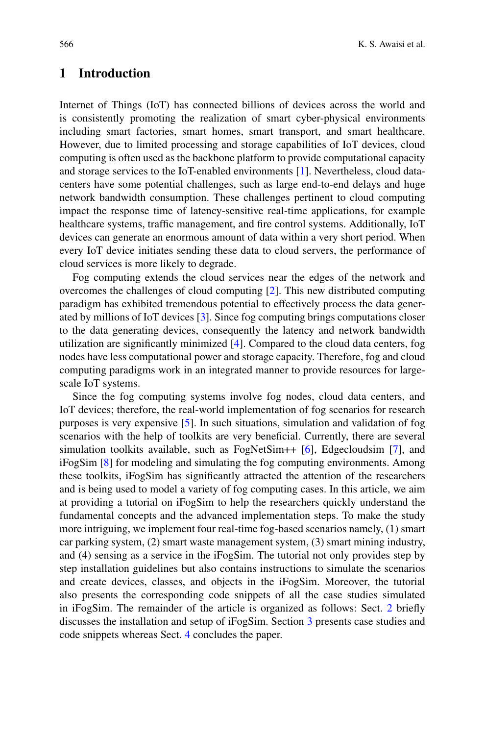## **1 Introduction**

Internet of Things (IoT) has connected billions of devices across the world and is consistently promoting the realization of smart cyber-physical environments including smart factories, smart homes, smart transport, and smart healthcare. However, due to limited processing and storage capabilities of IoT devices, cloud computing is often used as the backbone platform to provide computational capacity and storage services to the IoT-enabled environments [\[1\]](#page-24-0). Nevertheless, cloud datacenters have some potential challenges, such as large end-to-end delays and huge network bandwidth consumption. These challenges pertinent to cloud computing impact the response time of latency-sensitive real-time applications, for example healthcare systems, traffic management, and fire control systems. Additionally, IoT devices can generate an enormous amount of data within a very short period. When every IoT device initiates sending these data to cloud servers, the performance of cloud services is more likely to degrade.

Fog computing extends the cloud services near the edges of the network and overcomes the challenges of cloud computing [\[2\]](#page-24-1). This new distributed computing paradigm has exhibited tremendous potential to effectively process the data generated by millions of IoT devices [\[3\]](#page-24-2). Since fog computing brings computations closer to the data generating devices, consequently the latency and network bandwidth utilization are significantly minimized [\[4\]](#page-24-3). Compared to the cloud data centers, fog nodes have less computational power and storage capacity. Therefore, fog and cloud computing paradigms work in an integrated manner to provide resources for largescale IoT systems.

Since the fog computing systems involve fog nodes, cloud data centers, and IoT devices; therefore, the real-world implementation of fog scenarios for research purposes is very expensive [\[5\]](#page-24-4). In such situations, simulation and validation of fog scenarios with the help of toolkits are very beneficial. Currently, there are several simulation toolkits available, such as FogNetSim++ [\[6\]](#page-24-5), Edgecloudsim [\[7\]](#page-24-6), and iFogSim [\[8\]](#page-24-7) for modeling and simulating the fog computing environments. Among these toolkits, iFogSim has significantly attracted the attention of the researchers and is being used to model a variety of fog computing cases. In this article, we aim at providing a tutorial on iFogSim to help the researchers quickly understand the fundamental concepts and the advanced implementation steps. To make the study more intriguing, we implement four real-time fog-based scenarios namely, (1) smart car parking system, (2) smart waste management system, (3) smart mining industry, and (4) sensing as a service in the iFogSim. The tutorial not only provides step by step installation guidelines but also contains instructions to simulate the scenarios and create devices, classes, and objects in the iFogSim. Moreover, the tutorial also presents the corresponding code snippets of all the case studies simulated in iFogSim. The remainder of the article is organized as follows: Sect. [2](#page-2-0) briefly discusses the installation and setup of iFogSim. Section [3](#page-2-1) presents case studies and code snippets whereas Sect. [4](#page-24-8) concludes the paper.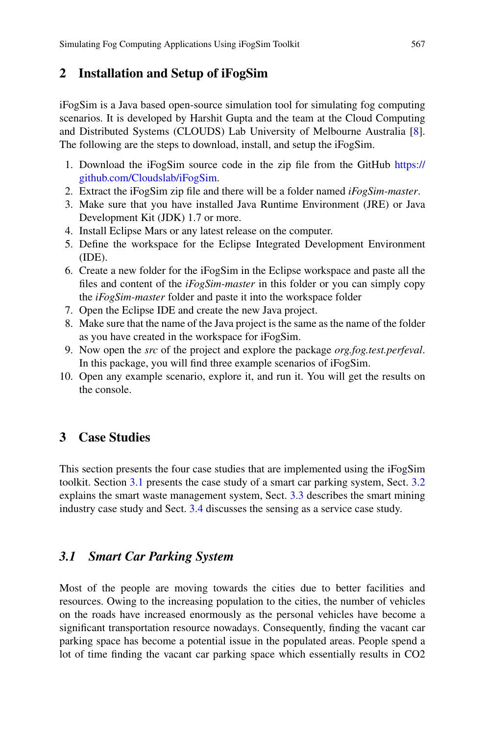## <span id="page-2-0"></span>**2 Installation and Setup of iFogSim**

iFogSim is a Java based open-source simulation tool for simulating fog computing scenarios. It is developed by Harshit Gupta and the team at the Cloud Computing and Distributed Systems (CLOUDS) Lab University of Melbourne Australia [\[8\]](#page-24-7). The following are the steps to download, install, and setup the iFogSim.

- 1. Download the iFogSim source code in the zip file from the GitHub [https://](https://github.com/Cloudslab/iFogSim) [github.com/Cloudslab/iFogSim.](https://github.com/Cloudslab/iFogSim)
- 2. Extract the iFogSim zip file and there will be a folder named *iFogSim-master*.
- 3. Make sure that you have installed Java Runtime Environment (JRE) or Java Development Kit (JDK) 1.7 or more.
- 4. Install Eclipse Mars or any latest release on the computer.
- 5. Define the workspace for the Eclipse Integrated Development Environment (IDE).
- 6. Create a new folder for the iFogSim in the Eclipse workspace and paste all the files and content of the *iFogSim-master* in this folder or you can simply copy the *iFogSim-master* folder and paste it into the workspace folder
- 7. Open the Eclipse IDE and create the new Java project.
- 8. Make sure that the name of the Java project is the same as the name of the folder as you have created in the workspace for iFogSim.
- 9. Now open the *src* of the project and explore the package *org.fog.test.perfeval*. In this package, you will find three example scenarios of iFogSim.
- 10. Open any example scenario, explore it, and run it. You will get the results on the console.

# <span id="page-2-1"></span>**3 Case Studies**

This section presents the four case studies that are implemented using the iFogSim toolkit. Section [3.1](#page-2-2) presents the case study of a smart car parking system, Sect. [3.2](#page-7-0) explains the smart waste management system, Sect. [3.3](#page-14-0) describes the smart mining industry case study and Sect. [3.4](#page-20-0) discusses the sensing as a service case study.

# <span id="page-2-2"></span>*3.1 Smart Car Parking System*

Most of the people are moving towards the cities due to better facilities and resources. Owing to the increasing population to the cities, the number of vehicles on the roads have increased enormously as the personal vehicles have become a significant transportation resource nowadays. Consequently, finding the vacant car parking space has become a potential issue in the populated areas. People spend a lot of time finding the vacant car parking space which essentially results in CO2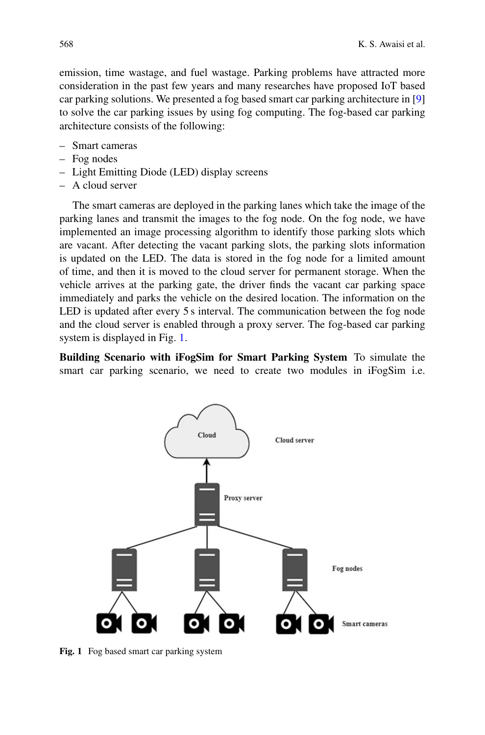emission, time wastage, and fuel wastage. Parking problems have attracted more consideration in the past few years and many researches have proposed IoT based car parking solutions. We presented a fog based smart car parking architecture in [\[9\]](#page-24-9) to solve the car parking issues by using fog computing. The fog-based car parking architecture consists of the following:

- Smart cameras
- Fog nodes
- Light Emitting Diode (LED) display screens
- A cloud server

The smart cameras are deployed in the parking lanes which take the image of the parking lanes and transmit the images to the fog node. On the fog node, we have implemented an image processing algorithm to identify those parking slots which are vacant. After detecting the vacant parking slots, the parking slots information is updated on the LED. The data is stored in the fog node for a limited amount of time, and then it is moved to the cloud server for permanent storage. When the vehicle arrives at the parking gate, the driver finds the vacant car parking space immediately and parks the vehicle on the desired location. The information on the LED is updated after every 5 s interval. The communication between the fog node and the cloud server is enabled through a proxy server. The fog-based car parking system is displayed in Fig. [1.](#page-3-0)

**Building Scenario with iFogSim for Smart Parking System** To simulate the smart car parking scenario, we need to create two modules in iFogSim i.e.



<span id="page-3-0"></span>**Fig. 1** Fog based smart car parking system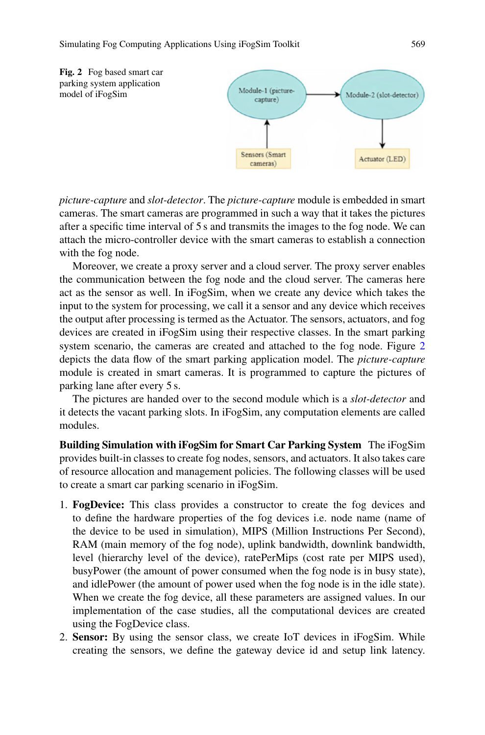<span id="page-4-0"></span>



*picture-capture* and *slot-detector*. The *picture-capture* module is embedded in smart cameras. The smart cameras are programmed in such a way that it takes the pictures after a specific time interval of 5 s and transmits the images to the fog node. We can attach the micro-controller device with the smart cameras to establish a connection with the fog node.

Moreover, we create a proxy server and a cloud server. The proxy server enables the communication between the fog node and the cloud server. The cameras here act as the sensor as well. In iFogSim, when we create any device which takes the input to the system for processing, we call it a sensor and any device which receives the output after processing is termed as the Actuator. The sensors, actuators, and fog devices are created in iFogSim using their respective classes. In the smart parking system scenario, the cameras are created and attached to the fog node. Figure [2](#page-4-0) depicts the data flow of the smart parking application model. The *picture-capture* module is created in smart cameras. It is programmed to capture the pictures of parking lane after every 5 s.

The pictures are handed over to the second module which is a *slot-detector* and it detects the vacant parking slots. In iFogSim, any computation elements are called modules.

**Building Simulation with iFogSim for Smart Car Parking System** The iFogSim provides built-in classes to create fog nodes, sensors, and actuators. It also takes care of resource allocation and management policies. The following classes will be used to create a smart car parking scenario in iFogSim.

- 1. **FogDevice:** This class provides a constructor to create the fog devices and to define the hardware properties of the fog devices i.e. node name (name of the device to be used in simulation), MIPS (Million Instructions Per Second), RAM (main memory of the fog node), uplink bandwidth, downlink bandwidth, level (hierarchy level of the device), ratePerMips (cost rate per MIPS used), busyPower (the amount of power consumed when the fog node is in busy state), and idlePower (the amount of power used when the fog node is in the idle state). When we create the fog device, all these parameters are assigned values. In our implementation of the case studies, all the computational devices are created using the FogDevice class.
- 2. **Sensor:** By using the sensor class, we create IoT devices in iFogSim. While creating the sensors, we define the gateway device id and setup link latency.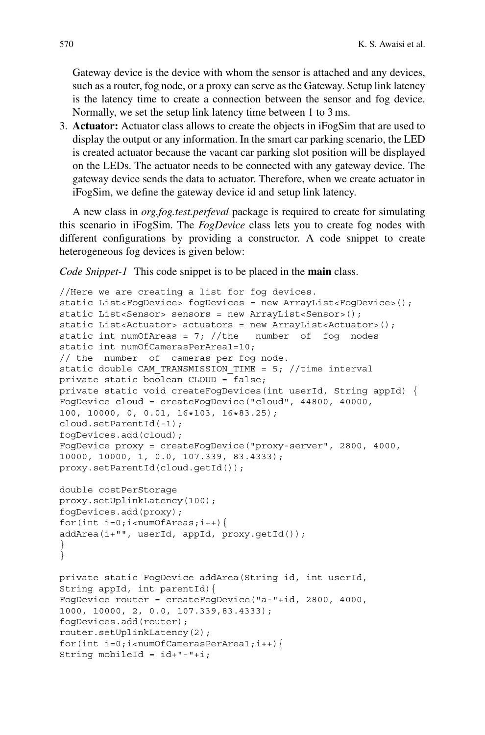Gateway device is the device with whom the sensor is attached and any devices, such as a router, fog node, or a proxy can serve as the Gateway. Setup link latency is the latency time to create a connection between the sensor and fog device. Normally, we set the setup link latency time between 1 to 3 ms.

3. **Actuator:** Actuator class allows to create the objects in iFogSim that are used to display the output or any information. In the smart car parking scenario, the LED is created actuator because the vacant car parking slot position will be displayed on the LEDs. The actuator needs to be connected with any gateway device. The gateway device sends the data to actuator. Therefore, when we create actuator in iFogSim, we define the gateway device id and setup link latency.

A new class in *org.fog.test.perfeval* package is required to create for simulating this scenario in iFogSim. The *FogDevice* class lets you to create fog nodes with different configurations by providing a constructor. A code snippet to create heterogeneous fog devices is given below:

*Code Snippet-1* This code snippet is to be placed in the **main** class.

```
//Here we are creating a list for fog devices.
static List<FogDevice> fogDevices = new ArrayList<FogDevice>();
static List<Sensor> sensors = new ArrayList<Sensor>();
static List<Actuator> actuators = new ArrayList<Actuator>();
static int numOfAreas = 7; //the number of fog nodes
static int numOfCamerasPerArea1=10;
// the number of cameras per fog node.
static double CAM_TRANSMISSION_TIME = 5; //time interval
private static boolean CLOUD = false;
private static void createFogDevices(int userId, String appId) {
FogDevice cloud = createFogDevice("cloud", 44800, 40000,
100, 10000, 0, 0.01, 16*103, 16*83.25);
cloud.setParentId(-1);
fogDevices.add(cloud);
FogDevice proxy = createFogDevice("proxy-server", 2800, 4000,
10000, 10000, 1, 0.0, 107.339, 83.4333);
proxy.setParentId(cloud.getId());
double costPerStorage
proxy.setUplinkLatency(100);
fogDevices.add(proxy);
for(int i=0; i<numOfAreas; i++){
addArea(i+"", userId, appId, proxy.getId());
}
}
private static FogDevice addArea(String id, int userId,
String appId, int parentId){
FogDevice router = createFogDevice("a-"+id, 2800, 4000,
1000, 10000, 2, 0.0, 107.339,83.4333);
fogDevices.add(router);
router.setUplinkLatency(2);
for(int i=0;i<numOfCamerasPerArea1;i++){
String mobileId = id+"-"+i;
```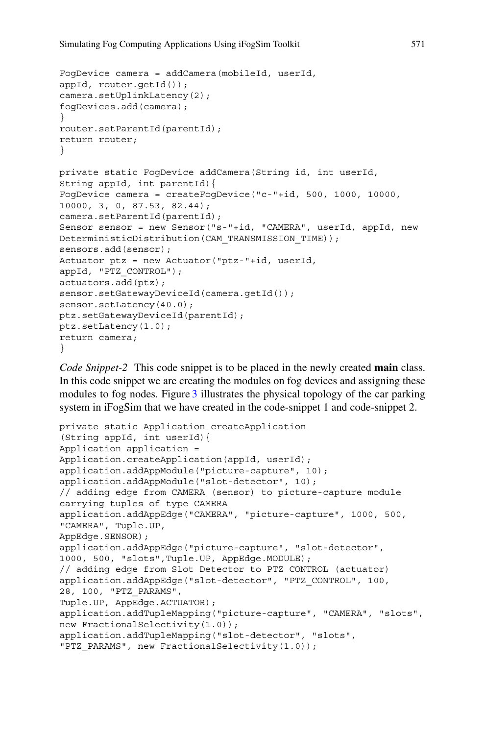```
FogDevice camera = addCamera(mobileId, userId,
appId, router.getId());
camera.setUplinkLatency(2);
fogDevices.add(camera);
}
router.setParentId(parentId);
return router;
}
private static FogDevice addCamera(String id, int userId,
String appId, int parentId){
FogDevice camera = createFogDevice("c-"+id, 500, 1000, 10000,
10000, 3, 0, 87.53, 82.44);
camera.setParentId(parentId);
Sensor sensor = new Sensor("s-"+id, "CAMERA", userId, appId, new
DeterministicDistribution(CAM_TRANSMISSION_TIME));
sensors.add(sensor);
Actuator ptz = new Actuator("ptz-"+id, userId,
appId, "PTZ_CONTROL");
actuators.add(ptz);
sensor.setGatewayDeviceId(camera.getId());
sensor.setLatency(40.0);
ptz.setGatewayDeviceId(parentId);
ptz.setLatency(1.0);
return camera;
}
```
*Code Snippet-2* This code snippet is to be placed in the newly created **main** class. In this code snippet we are creating the modules on fog devices and assigning these modules to fog nodes. Figure [3](#page-7-1) illustrates the physical topology of the car parking system in iFogSim that we have created in the code-snippet 1 and code-snippet 2.

```
private static Application createApplication
(String appId, int userId){
Application application =
Application.createApplication(appId, userId);
application.addAppModule("picture-capture", 10);
application.addAppModule("slot-detector", 10);
// adding edge from CAMERA (sensor) to picture-capture module
carrying tuples of type CAMERA
application.addAppEdge("CAMERA", "picture-capture", 1000, 500,
"CAMERA", Tuple.UP,
AppEdge.SENSOR);
application.addAppEdge("picture-capture", "slot-detector",
1000, 500, "slots",Tuple.UP, AppEdge.MODULE);
// adding edge from Slot Detector to PTZ CONTROL (actuator)
application.addAppEdge("slot-detector", "PTZ_CONTROL", 100,
28, 100, "PTZ_PARAMS",
Tuple.UP, AppEdge.ACTUATOR);
application.addTupleMapping("picture-capture", "CAMERA", "slots",
new FractionalSelectivity(1.0));
application.addTupleMapping("slot-detector", "slots",
"PTZ_PARAMS", new FractionalSelectivity(1.0));
```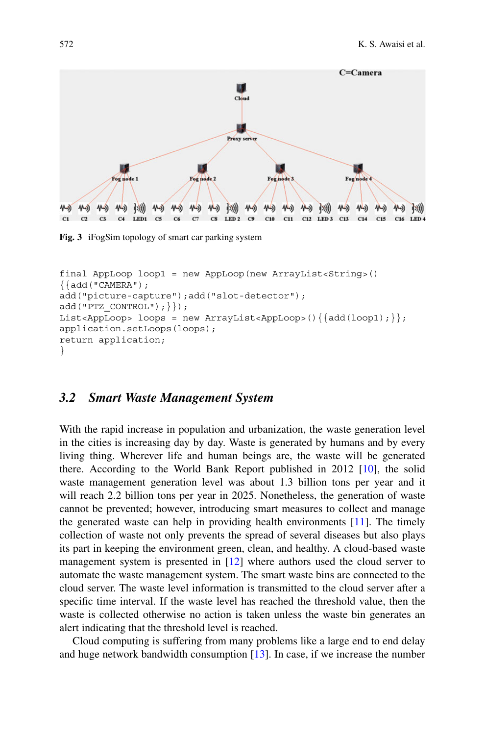

<span id="page-7-1"></span>**Fig. 3** iFogSim topology of smart car parking system

```
final AppLoop loop1 = new AppLoop(new ArrayList<String>()
\{{add("CAMERA") ;
add("picture-capture");add("slot-detector");
add("PTZ CONTROL"; } });
List<AppLoop> loops = new ArrayList<AppLoop>(){{add(loop1);}};
application.setLoops(loops);
return application;
}
```
#### <span id="page-7-0"></span>*3.2 Smart Waste Management System*

With the rapid increase in population and urbanization, the waste generation level in the cities is increasing day by day. Waste is generated by humans and by every living thing. Wherever life and human beings are, the waste will be generated there. According to the World Bank Report published in 2012 [\[10\]](#page-25-0), the solid waste management generation level was about 1.3 billion tons per year and it will reach 2.2 billion tons per year in 2025. Nonetheless, the generation of waste cannot be prevented; however, introducing smart measures to collect and manage the generated waste can help in providing health environments [\[11\]](#page-25-1). The timely collection of waste not only prevents the spread of several diseases but also plays its part in keeping the environment green, clean, and healthy. A cloud-based waste management system is presented in [\[12\]](#page-25-2) where authors used the cloud server to automate the waste management system. The smart waste bins are connected to the cloud server. The waste level information is transmitted to the cloud server after a specific time interval. If the waste level has reached the threshold value, then the waste is collected otherwise no action is taken unless the waste bin generates an alert indicating that the threshold level is reached.

Cloud computing is suffering from many problems like a large end to end delay and huge network bandwidth consumption [\[13\]](#page-25-3). In case, if we increase the number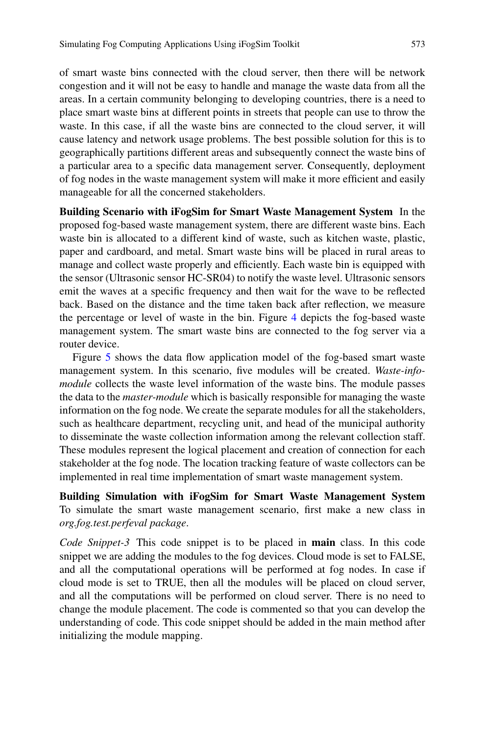of smart waste bins connected with the cloud server, then there will be network congestion and it will not be easy to handle and manage the waste data from all the areas. In a certain community belonging to developing countries, there is a need to place smart waste bins at different points in streets that people can use to throw the waste. In this case, if all the waste bins are connected to the cloud server, it will cause latency and network usage problems. The best possible solution for this is to geographically partitions different areas and subsequently connect the waste bins of a particular area to a specific data management server. Consequently, deployment of fog nodes in the waste management system will make it more efficient and easily manageable for all the concerned stakeholders.

**Building Scenario with iFogSim for Smart Waste Management System** In the proposed fog-based waste management system, there are different waste bins. Each waste bin is allocated to a different kind of waste, such as kitchen waste, plastic, paper and cardboard, and metal. Smart waste bins will be placed in rural areas to manage and collect waste properly and efficiently. Each waste bin is equipped with the sensor (Ultrasonic sensor HC-SR04) to notify the waste level. Ultrasonic sensors emit the waves at a specific frequency and then wait for the wave to be reflected back. Based on the distance and the time taken back after reflection, we measure the percentage or level of waste in the bin. Figure [4](#page-9-0) depicts the fog-based waste management system. The smart waste bins are connected to the fog server via a router device.

Figure [5](#page-9-1) shows the data flow application model of the fog-based smart waste management system. In this scenario, five modules will be created. *Waste-infomodule* collects the waste level information of the waste bins. The module passes the data to the *master-module* which is basically responsible for managing the waste information on the fog node. We create the separate modules for all the stakeholders, such as healthcare department, recycling unit, and head of the municipal authority to disseminate the waste collection information among the relevant collection staff. These modules represent the logical placement and creation of connection for each stakeholder at the fog node. The location tracking feature of waste collectors can be implemented in real time implementation of smart waste management system.

**Building Simulation with iFogSim for Smart Waste Management System** To simulate the smart waste management scenario, first make a new class in *org.fog.test.perfeval package*.

*Code Snippet-3* This code snippet is to be placed in **main** class. In this code snippet we are adding the modules to the fog devices. Cloud mode is set to FALSE, and all the computational operations will be performed at fog nodes. In case if cloud mode is set to TRUE, then all the modules will be placed on cloud server, and all the computations will be performed on cloud server. There is no need to change the module placement. The code is commented so that you can develop the understanding of code. This code snippet should be added in the main method after initializing the module mapping.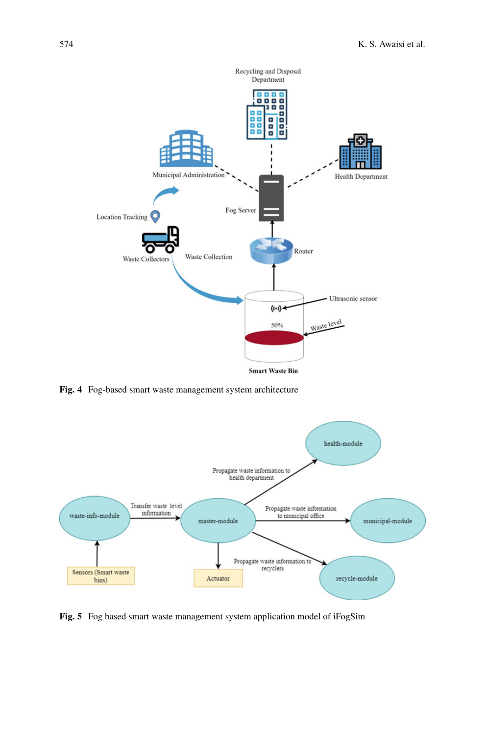

<span id="page-9-0"></span>**Fig. 4** Fog-based smart waste management system architecture



<span id="page-9-1"></span>**Fig. 5** Fog based smart waste management system application model of iFogSim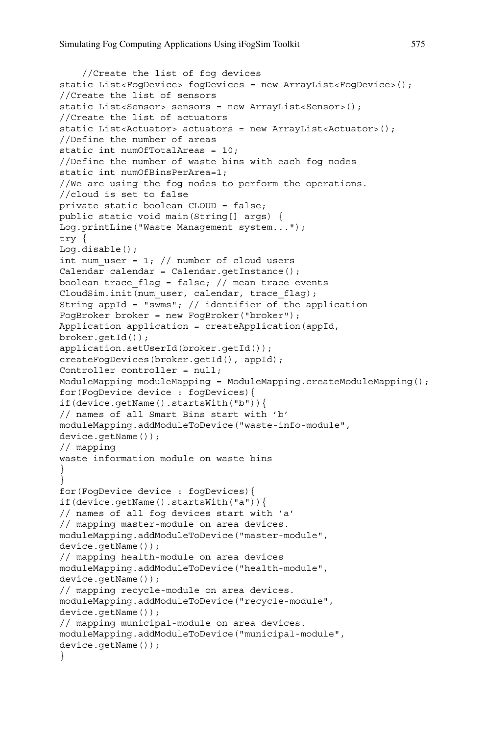```
//Create the list of fog devices
static List<FogDevice> fogDevices = new ArrayList<FogDevice>();
//Create the list of sensors
static List<Sensor> sensors = new ArrayList<Sensor>();
//Create the list of actuators
static List<Actuator> actuators = new ArrayList<Actuator>();
//Define the number of areas
static int numOfTotalAreas = 10;
//Define the number of waste bins with each fog nodes
static int numOfBinsPerArea=1;
//We are using the fog nodes to perform the operations.
//cloud is set to false
private static boolean CLOUD = false;
public static void main(String[] args) {
Log.printLine("Waste Management system...");
try {
Log.disable();
int num user = 1; // number of cloud users
Calendar calendar = Calendar.getInstance();
boolean trace flag = false; // mean trace events
CloudSim.init(num user, calendar, trace flag);
String appId = "swms"; // identifier of the application
FogBroker broker = new FogBroker("broker");
Application application = createApplication(appId,
broker.getId());
application.setUserId(broker.getId());
createFogDevices(broker.getId(), appId);
Controller controller = null;
ModuleMapping moduleMapping = ModuleMapping.createModuleMapping();
for(FogDevice device : fogDevices){
if(device.getName().startsWith("b")){
// names of all Smart Bins start with 'b'
moduleMapping.addModuleToDevice("waste-info-module",
device.getName());
// mapping
waste information module on waste bins
}
}
for(FogDevice device : fogDevices){
if(device.getName().startsWith("a")){
// names of all fog devices start with 'a'
// mapping master-module on area devices.
moduleMapping.addModuleToDevice("master-module",
device.getName());
// mapping health-module on area devices
moduleMapping.addModuleToDevice("health-module",
device.getName());
// mapping recycle-module on area devices.
moduleMapping.addModuleToDevice("recycle-module",
device.getName());
// mapping municipal-module on area devices.
moduleMapping.addModuleToDevice("municipal-module",
device.getName());
}
```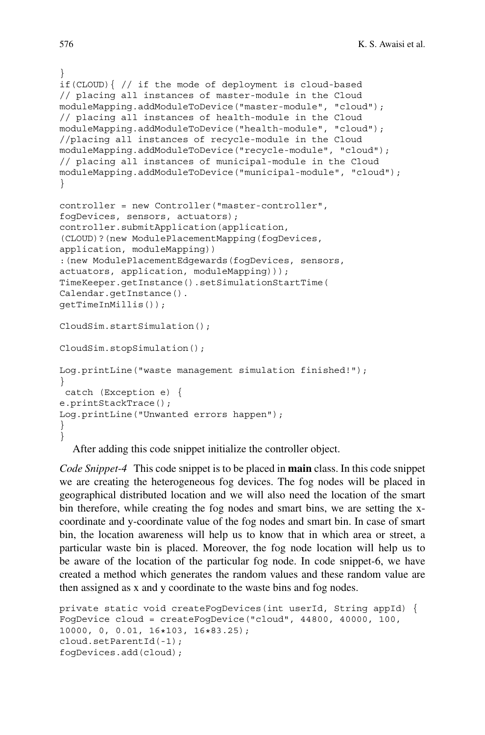```
}
if(CLOUD){ // if the mode of deployment is cloud-based
// placing all instances of master-module in the Cloud
moduleMapping.addModuleToDevice("master-module", "cloud");
// placing all instances of health-module in the Cloud
moduleMapping.addModuleToDevice("health-module", "cloud");
//placing all instances of recycle-module in the Cloud
moduleMapping.addModuleToDevice("recycle-module", "cloud");
// placing all instances of municipal-module in the Cloud
moduleMapping.addModuleToDevice("municipal-module", "cloud");
}
controller = new Controller("master-controller",
fogDevices, sensors, actuators);
controller.submitApplication(application,
(CLOUD)?(new ModulePlacementMapping(fogDevices,
application, moduleMapping))
:(new ModulePlacementEdgewards(fogDevices, sensors,
actuators, application, moduleMapping)));
TimeKeeper.getInstance().setSimulationStartTime(
Calendar.getInstance().
getTimeInMillis());
CloudSim.startSimulation();
CloudSim.stopSimulation();
Log.printLine("waste management simulation finished!");
}
 catch (Exception e) {
e.printStackTrace();
Log.printLine("Unwanted errors happen");
}
}
```
After adding this code snippet initialize the controller object.

*Code Snippet-4* This code snippet is to be placed in **main** class. In this code snippet we are creating the heterogeneous fog devices. The fog nodes will be placed in geographical distributed location and we will also need the location of the smart bin therefore, while creating the fog nodes and smart bins, we are setting the xcoordinate and y-coordinate value of the fog nodes and smart bin. In case of smart bin, the location awareness will help us to know that in which area or street, a particular waste bin is placed. Moreover, the fog node location will help us to be aware of the location of the particular fog node. In code snippet-6, we have created a method which generates the random values and these random value are then assigned as x and y coordinate to the waste bins and fog nodes.

```
private static void createFogDevices(int userId, String appId) {
FogDevice cloud = createFogDevice("cloud", 44800, 40000, 100,
10000, 0, 0.01, 16*103, 16*83.25);
cloud.setParentId(-1);
fogDevices.add(cloud);
```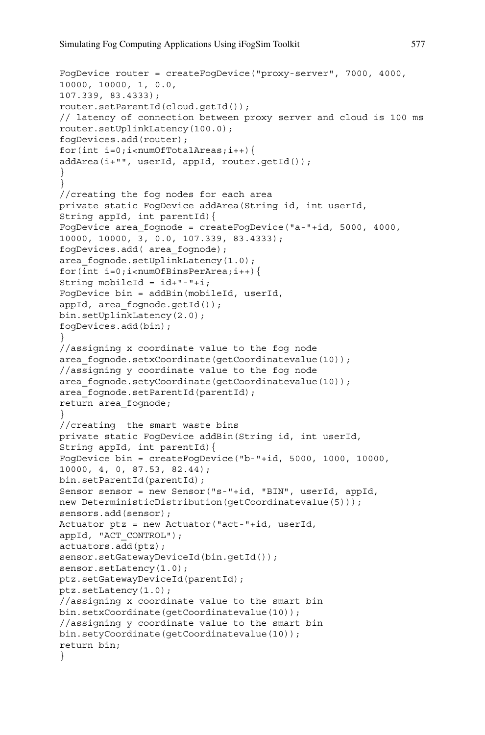```
FogDevice router = createFogDevice("proxy-server", 7000, 4000,
10000, 10000, 1, 0.0,
107.339, 83.4333);
router.setParentId(cloud.getId());
// latency of connection between proxy server and cloud is 100 ms
router.setUplinkLatency(100.0);
fogDevices.add(router);
for(int i=0; i<numOfTotalAreas; i++) {
addArea(i+"", userId, appId, router.getId());
}
}
//creating the fog nodes for each area
private static FogDevice addArea(String id, int userId,
String appId, int parentId){
FogDevice area_fognode = createFogDevice("a-"+id, 5000, 4000,
10000, 10000, 3, 0.0, 107.339, 83.4333);
fogDevices.add( area_fognode);
area fognode.setUplinkLatency(1.0);
for(int i=0;i<numOfBinsPerArea;i++){
String mobileId = id+"-"+i;
FogDevice bin = addBin(mobileId, userId,
appId, area fognode.getId());
bin.setUplinkLatency(2.0);
fogDevices.add(bin);
}
//assigning x coordinate value to the fog node
area fognode.setxCoordinate(getCoordinatevalue(10));
//assigning y coordinate value to the fog node
area fognode.setyCoordinate(getCoordinatevalue(10));
area fognode.setParentId(parentId);
return area_fognode;
}
//creating the smart waste bins
private static FogDevice addBin(String id, int userId,
String appId, int parentId){
FogDevice bin = createFogDevice("b-"+id, 5000, 1000, 10000,
10000, 4, 0, 87.53, 82.44);
bin.setParentId(parentId);
Sensor sensor = new Sensor("s-"+id, "BIN", userId, appId,
new DeterministicDistribution(getCoordinatevalue(5)));
sensors.add(sensor);
Actuator ptz = new Actuator("act-"+id, userId,
appId, "ACT CONTROL");
actuators.add(ptz);
sensor.setGatewayDeviceId(bin.getId());
sensor.setLatency(1.0);
ptz.setGatewayDeviceId(parentId);
ptz.setLatency(1.0);
//assigning x coordinate value to the smart bin
bin.setxCoordinate(getCoordinatevalue(10));
//assigning y coordinate value to the smart bin
bin.setyCoordinate(getCoordinatevalue(10));
return bin;
}
```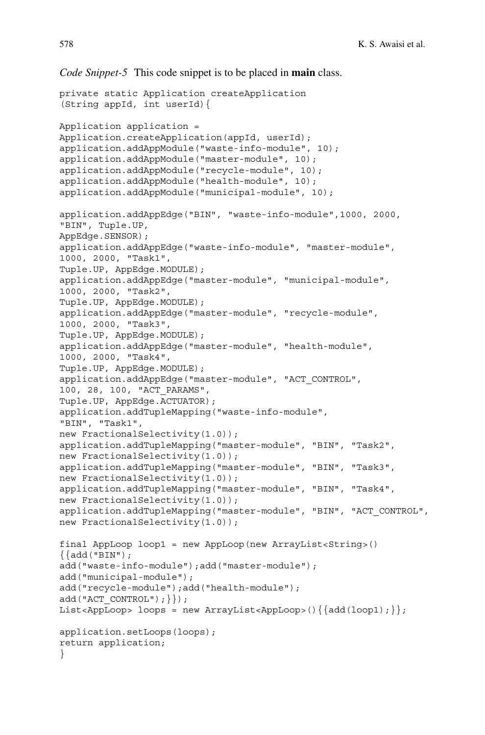*Code Snippet-5* This code snippet is to be placed in **main** class.

```
private static Application createApplication
(String appId, int userId){
Application application =
Application.createApplication(appId, userId);
application.addAppModule("waste-info-module", 10);
application.addAppModule("master-module", 10);
application.addAppModule("recycle-module", 10);
application.addAppModule("health-module", 10);
application.addAppModule("municipal-module", 10);
application.addAppEdge("BIN", "waste-info-module",1000, 2000,
"BIN", Tuple.UP,
AppEdge.SENSOR);
application.addAppEdge("waste-info-module", "master-module",
1000, 2000, "Task1",
Tuple.UP, AppEdge.MODULE);
application.addAppEdge("master-module", "municipal-module",
1000, 2000, "Task2",
Tuple.UP, AppEdge.MODULE);
application.addAppEdge("master-module", "recycle-module",
1000, 2000, "Task3",
Tuple.UP, AppEdge.MODULE);
application.addAppEdge("master-module", "health-module",
1000, 2000, "Task4",
Tuple.UP, AppEdge.MODULE);
application.addAppEdge("master-module", "ACT_CONTROL",
100, 28, 100, "ACT_PARAMS",
Tuple.UP, AppEdge.ACTUATOR);
application.addTupleMapping("waste-info-module",
"BIN", "Task1",
new FractionalSelectivity(1.0));
application.addTupleMapping("master-module", "BIN", "Task2",
new FractionalSelectivity(1.0));
application.addTupleMapping("master-module", "BIN", "Task3",
new FractionalSelectivity(1.0));
application.addTupleMapping("master-module", "BIN", "Task4",
new FractionalSelectivity(1.0));
application.addTupleMapping("master-module", "BIN", "ACT_CONTROL",
new FractionalSelectivity(1.0));
final AppLoop loop1 = new AppLoop(new ArrayList<String>()
\{{\{add('BIN'')\};add("waste-info-module");add("master-module");
add("municipal-module");
add("recycle-module");add("health-module");
add("ACT CONTROL"); \});
List<AppLoop> loops = new ArrayList<AppLoop>(){{add(loop1);}};
application.setLoops(loops);
return application;
}
```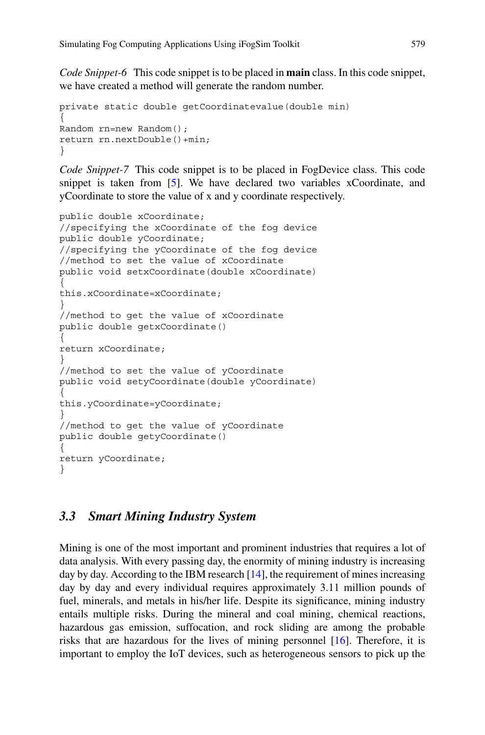*Code Snippet-6* This code snippet is to be placed in **main** class. In this code snippet, we have created a method will generate the random number.

```
private static double getCoordinatevalue(double min)
{
Random rn=new Random();
return rn.nextDouble()+min;
}
```
*Code Snippet-7* This code snippet is to be placed in FogDevice class. This code snippet is taken from [\[5\]](#page-24-4). We have declared two variables xCoordinate, and yCoordinate to store the value of x and y coordinate respectively.

```
public double xCoordinate;
//specifying the xCoordinate of the fog device
public double yCoordinate;
//specifying the yCoordinate of the fog device
//method to set the value of xCoordinate
public void setxCoordinate(double xCoordinate)
{
this.xCoordinate=xCoordinate;
}
//method to get the value of xCoordinate
public double getxCoordinate()
{
return xCoordinate;
}
//method to set the value of yCoordinate
public void setyCoordinate(double yCoordinate)
{
this.yCoordinate=yCoordinate;
}
//method to get the value of yCoordinate
public double getyCoordinate()
{
return yCoordinate;
}
```
# <span id="page-14-0"></span>*3.3 Smart Mining Industry System*

Mining is one of the most important and prominent industries that requires a lot of data analysis. With every passing day, the enormity of mining industry is increasing day by day. According to the IBM research [\[14\]](#page-25-4), the requirement of mines increasing day by day and every individual requires approximately 3.11 million pounds of fuel, minerals, and metals in his/her life. Despite its significance, mining industry entails multiple risks. During the mineral and coal mining, chemical reactions, hazardous gas emission, suffocation, and rock sliding are among the probable risks that are hazardous for the lives of mining personnel [\[16\]](#page-25-5). Therefore, it is important to employ the IoT devices, such as heterogeneous sensors to pick up the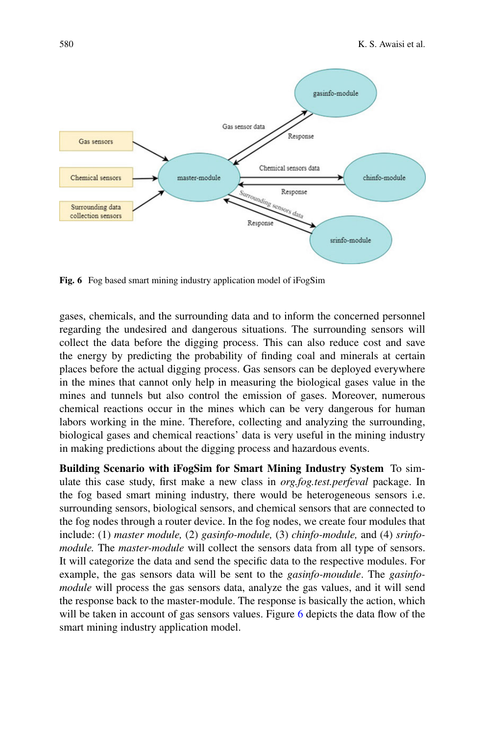

<span id="page-15-0"></span>**Fig. 6** Fog based smart mining industry application model of iFogSim

gases, chemicals, and the surrounding data and to inform the concerned personnel regarding the undesired and dangerous situations. The surrounding sensors will collect the data before the digging process. This can also reduce cost and save the energy by predicting the probability of finding coal and minerals at certain places before the actual digging process. Gas sensors can be deployed everywhere in the mines that cannot only help in measuring the biological gases value in the mines and tunnels but also control the emission of gases. Moreover, numerous chemical reactions occur in the mines which can be very dangerous for human labors working in the mine. Therefore, collecting and analyzing the surrounding, biological gases and chemical reactions' data is very useful in the mining industry in making predictions about the digging process and hazardous events.

**Building Scenario with iFogSim for Smart Mining Industry System** To simulate this case study, first make a new class in *org.fog.test.perfeval* package. In the fog based smart mining industry, there would be heterogeneous sensors i.e. surrounding sensors, biological sensors, and chemical sensors that are connected to the fog nodes through a router device. In the fog nodes, we create four modules that include: (1) *master module,* (2) *gasinfo-module,* (3) *chinfo-module,* and (4) *srinfomodule.* The *master-module* will collect the sensors data from all type of sensors. It will categorize the data and send the specific data to the respective modules. For example, the gas sensors data will be sent to the *gasinfo-moudule*. The *gasinfomodule* will process the gas sensors data, analyze the gas values, and it will send the response back to the master-module. The response is basically the action, which will be taken in account of gas sensors values. Figure [6](#page-15-0) depicts the data flow of the smart mining industry application model.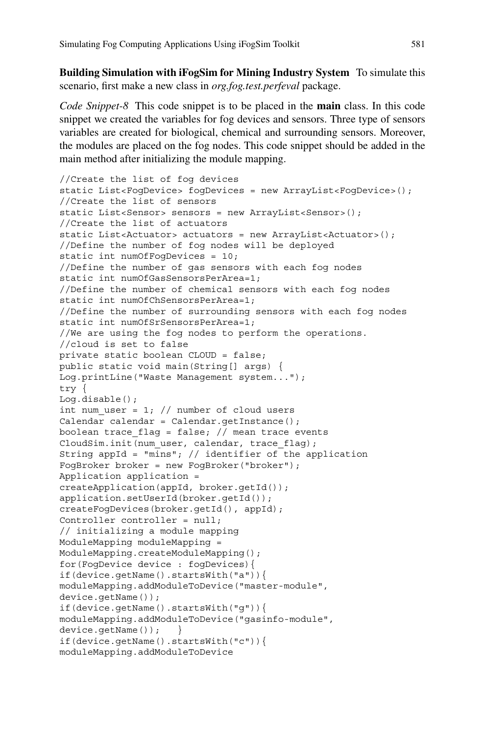**Building Simulation with iFogSim for Mining Industry System** To simulate this scenario, first make a new class in *org.fog.test.perfeval* package.

*Code Snippet-8* This code snippet is to be placed in the **main** class. In this code snippet we created the variables for fog devices and sensors. Three type of sensors variables are created for biological, chemical and surrounding sensors. Moreover, the modules are placed on the fog nodes. This code snippet should be added in the main method after initializing the module mapping.

```
//Create the list of fog devices
static List<FogDevice> fogDevices = new ArrayList<FogDevice>();
//Create the list of sensors
static List<Sensor> sensors = new ArrayList<Sensor>();
//Create the list of actuators
static List<Actuator> actuators = new ArrayList<Actuator>();
//Define the number of fog nodes will be deployed
static int numOfFogDevices = 10;
//Define the number of gas sensors with each fog nodes
static int numOfGasSensorsPerArea=1;
//Define the number of chemical sensors with each fog nodes
static int numOfChSensorsPerArea=1;
//Define the number of surrounding sensors with each fog nodes
static int numOfSrSensorsPerArea=1;
//We are using the fog nodes to perform the operations.
//cloud is set to false
private static boolean CLOUD = false;
public static void main(String[] args) {
Log.printLine("Waste Management system...");
try {
Log.disable();
int num user = 1; // number of cloud users
Calendar calendar = Calendar.getInstance();
boolean trace flag = false; // mean trace events
CloudSim.init(num user, calendar, trace flag);
String appId = "mins"; // identifier of the application
FogBroker broker = new FogBroker("broker");
Application application =
createApplication(appId, broker.getId());
application.setUserId(broker.getId());
createFogDevices(broker.getId(), appId);
Controller controller = null;
// initializing a module mapping
ModuleMapping moduleMapping =
ModuleMapping.createModuleMapping();
for(FogDevice device : fogDevices){
if(device.getName().startsWith("a")){
moduleMapping.addModuleToDevice("master-module",
device.getName());
if(device.getName().startsWith("g")){
moduleMapping.addModuleToDevice("gasinfo-module",
device.getName()); }
if(device.getName().startsWith("c")){
moduleMapping.addModuleToDevice
```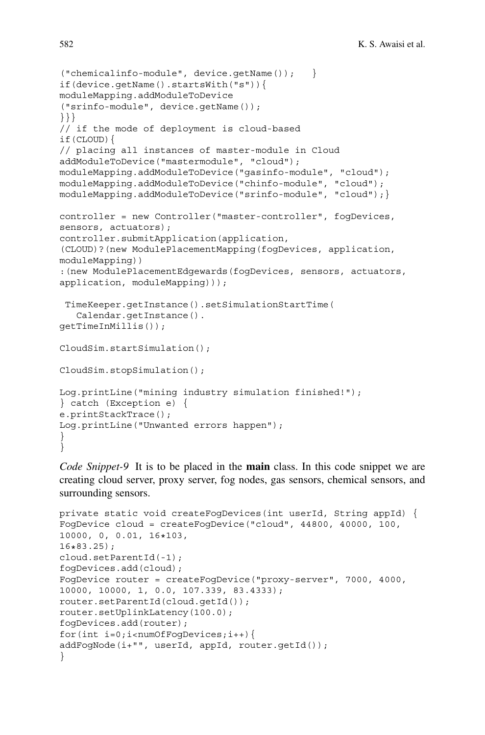```
("chemicalinfo-module", device.getName()); }
if(device.getName().startsWith("s")){
moduleMapping.addModuleToDevice
("srinfo-module", device.getName());
}}}
// if the mode of deployment is cloud-based
if(CLOUD){
// placing all instances of master-module in Cloud
addModuleToDevice("mastermodule", "cloud");
moduleMapping.addModuleToDevice("gasinfo-module", "cloud");
moduleMapping.addModuleToDevice("chinfo-module", "cloud");
moduleMapping.addModuleToDevice("srinfo-module", "cloud");}
controller = new Controller("master-controller", fogDevices,
sensors, actuators);
controller.submitApplication(application,
(CLOUD)?(new ModulePlacementMapping(fogDevices, application,
moduleMapping))
:(new ModulePlacementEdgewards(fogDevices, sensors, actuators,
application, moduleMapping)));
 TimeKeeper.getInstance().setSimulationStartTime(
   Calendar.getInstance().
getTimeInMillis());
CloudSim.startSimulation();
CloudSim.stopSimulation();
Log.printLine("mining industry simulation finished!");
} catch (Exception e) {
e.printStackTrace();
Log.printLine("Unwanted errors happen");
}
}
```
*Code Snippet-9* It is to be placed in the **main** class. In this code snippet we are creating cloud server, proxy server, fog nodes, gas sensors, chemical sensors, and surrounding sensors.

```
private static void createFogDevices(int userId, String appId) {
FogDevice cloud = createFogDevice("cloud", 44800, 40000, 100,
10000, 0, 0.01, 16*103,
16*83.25;
cloud.setParentId(-1);
fogDevices.add(cloud);
FogDevice router = createFogDevice("proxy-server", 7000, 4000,
10000, 10000, 1, 0.0, 107.339, 83.4333);
router.setParentId(cloud.getId());
router.setUplinkLatency(100.0);
fogDevices.add(router);
for(int i=0;i<numOfFogDevices;i++){
addFogNode(i+"", userId, appId, router.getId());
}
```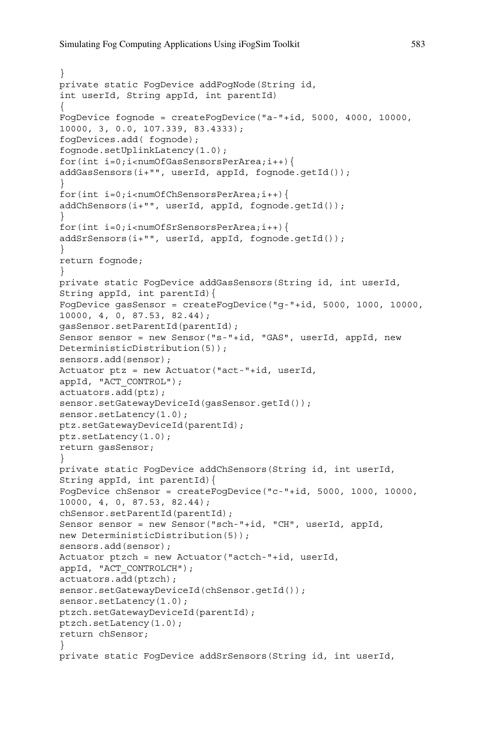```
}
private static FogDevice addFogNode(String id,
int userId, String appId, int parentId)
{
FogDevice fognode = createFogDevice("a-"+id, 5000, 4000, 10000,
10000, 3, 0.0, 107.339, 83.4333);
fogDevices.add( fognode);
fognode.setUplinkLatency(1.0);
for(int i=0;i<numOfGasSensorsPerArea;i++){
addGasSensors(i+"", userId, appId, fognode.getId());
}
for(int i=0;i<numOfChSensorsPerArea;i++){
addChSensors(i+"", userId, appId, fognode.getId());
}
for(int i=0;i<numOfSrSensorsPerArea;i++){
addSrSensors(i+"", userId, appId, fognode.getId());
}
return fognode;
}
private static FogDevice addGasSensors(String id, int userId,
String appId, int parentId){
FogDevice gasSensor = createFogDevice("g-"+id, 5000, 1000, 10000,
10000, 4, 0, 87.53, 82.44);
gasSensor.setParentId(parentId);
Sensor sensor = new Sensor("s-"+id, "GAS", userId, appId, new
DeterministicDistribution(5));
sensors.add(sensor);
Actuator ptz = new Actuator("act-"+id, userId,
appId, "ACT CONTROL");
actuators.add(ptz);
sensor.setGatewayDeviceId(gasSensor.getId());
sensor.setLatency(1.0);
ptz.setGatewayDeviceId(parentId);
ptz.setLatency(1.0);
return gasSensor;
}
private static FogDevice addChSensors(String id, int userId,
String appId, int parentId){
FogDevice chSensor = createFogDevice("c-"+id, 5000, 1000, 10000,
10000, 4, 0, 87.53, 82.44);
chSensor.setParentId(parentId);
Sensor sensor = new Sensor("sch-"+id, "CH", userId, appId,
new DeterministicDistribution(5));
sensors.add(sensor);
Actuator ptzch = new Actuator("actch-"+id, userId,
appId, "ACT CONTROLCH");
actuators.add(ptzch);
sensor.setGatewayDeviceId(chSensor.getId());
sensor.setLatency(1.0);
ptzch.setGatewayDeviceId(parentId);
ptzch.setLatency(1.0);
return chSensor;
}
private static FogDevice addSrSensors(String id, int userId,
```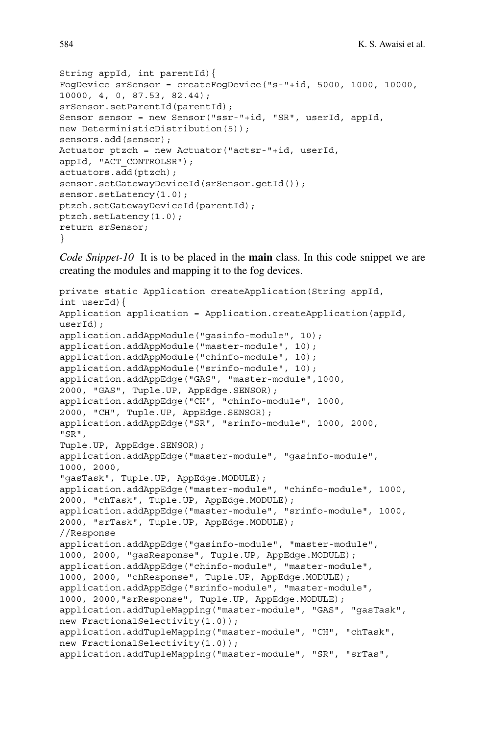```
String appId, int parentId){
FogDevice srSensor = createFogDevice("s-"+id, 5000, 1000, 10000,
10000, 4, 0, 87.53, 82.44);
srSensor.setParentId(parentId);
Sensor sensor = new Sensor("ssr-"+id, "SR", userId, appId,
new DeterministicDistribution(5));
sensors.add(sensor);
Actuator ptzch = new Actuator("actsr-"+id, userId,
appId, "ACT CONTROLSR");
actuators.add(ptzch);
sensor.setGatewayDeviceId(srSensor.getId());
sensor.setLatency(1.0);
ptzch.setGatewayDeviceId(parentId);
ptzch.setLatency(1.0);
return srSensor;
}
```
*Code Snippet-10* It is to be placed in the **main** class. In this code snippet we are creating the modules and mapping it to the fog devices.

```
private static Application createApplication(String appId,
int userId){
Application application = Application.createApplication(appId,
userId);
application.addAppModule("gasinfo-module", 10);
application.addAppModule("master-module", 10);
application.addAppModule("chinfo-module", 10);
application.addAppModule("srinfo-module", 10);
application.addAppEdge("GAS", "master-module",1000,
2000, "GAS", Tuple.UP, AppEdge.SENSOR);
application.addAppEdge("CH", "chinfo-module", 1000,
2000, "CH", Tuple.UP, AppEdge.SENSOR);
application.addAppEdge("SR", "srinfo-module", 1000, 2000,
"SR",
Tuple.UP, AppEdge.SENSOR);
application.addAppEdge("master-module", "gasinfo-module",
1000, 2000,
"gasTask", Tuple.UP, AppEdge.MODULE);
application.addAppEdge("master-module", "chinfo-module", 1000,
2000, "chTask", Tuple.UP, AppEdge.MODULE);
application.addAppEdge("master-module", "srinfo-module", 1000,
2000, "srTask", Tuple.UP, AppEdge.MODULE);
//Response
application.addAppEdge("gasinfo-module", "master-module",
1000, 2000, "gasResponse", Tuple.UP, AppEdge.MODULE);
application.addAppEdge("chinfo-module", "master-module",
1000, 2000, "chResponse", Tuple.UP, AppEdge.MODULE);
application.addAppEdge("srinfo-module", "master-module",
1000, 2000,"srResponse", Tuple.UP, AppEdge.MODULE);
application.addTupleMapping("master-module", "GAS", "gasTask",
new FractionalSelectivity(1.0));
application.addTupleMapping("master-module", "CH", "chTask",
new FractionalSelectivity(1.0));
application.addTupleMapping("master-module", "SR", "srTas",
```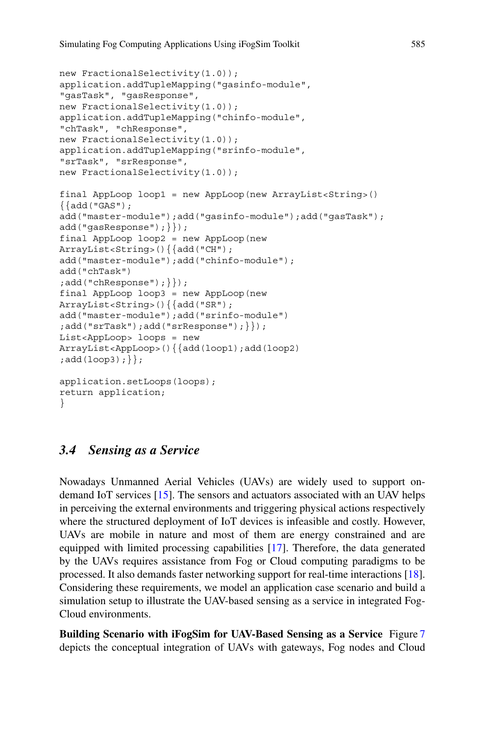```
new FractionalSelectivity(1.0));
application.addTupleMapping("gasinfo-module",
"gasTask", "gasResponse",
new FractionalSelectivity(1.0));
application.addTupleMapping("chinfo-module",
"chTask", "chResponse",
new FractionalSelectivity(1.0));
application.addTupleMapping("srinfo-module",
"srTask", "srResponse",
new FractionalSelectivity(1.0));
final AppLoop loop1 = new AppLoop(new ArrayList<String>()
{{add("GAS");
add("master-module");add("gasinfo-module");add("gasTask");
add("qasResponse");\});
final AppLoop loop2 = new AppLoop(new
ArrayList<String>(){{add("CH");
add("master-module");add("chinfo-module");
add("chTask")
; add("chResponse"); \});
final AppLoop loop3 = new AppLoop(new
ArrayList<String>(){{add("SR");
add("master-module");add("srinfo-module")
;add("srTask");add("srResponse");\};
List<AppLoop> loops = new
ArrayList<AppLoop>(){{add(loop1);add(loop2)
; add(loop3); \};
application.setLoops(loops);
return application;
}
```
## <span id="page-20-0"></span>*3.4 Sensing as a Service*

Nowadays Unmanned Aerial Vehicles (UAVs) are widely used to support ondemand IoT services [\[15\]](#page-25-6). The sensors and actuators associated with an UAV helps in perceiving the external environments and triggering physical actions respectively where the structured deployment of IoT devices is infeasible and costly. However, UAVs are mobile in nature and most of them are energy constrained and are equipped with limited processing capabilities [\[17\]](#page-25-7). Therefore, the data generated by the UAVs requires assistance from Fog or Cloud computing paradigms to be processed. It also demands faster networking support for real-time interactions [\[18\]](#page-25-8). Considering these requirements, we model an application case scenario and build a simulation setup to illustrate the UAV-based sensing as a service in integrated Fog-Cloud environments.

**Building Scenario with iFogSim for UAV-Based Sensing as a Service** Figure [7](#page-21-0) depicts the conceptual integration of UAVs with gateways, Fog nodes and Cloud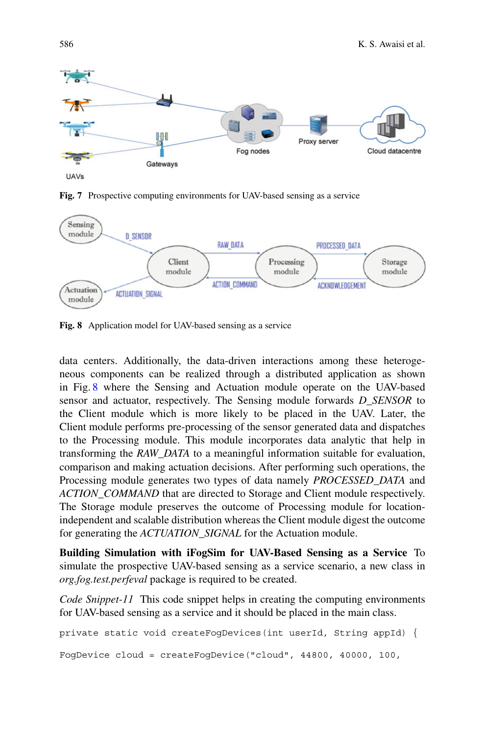

<span id="page-21-0"></span>**Fig. 7** Prospective computing environments for UAV-based sensing as a service



<span id="page-21-1"></span>**Fig. 8** Application model for UAV-based sensing as a service

data centers. Additionally, the data-driven interactions among these heterogeneous components can be realized through a distributed application as shown in Fig. [8](#page-21-1) where the Sensing and Actuation module operate on the UAV-based sensor and actuator, respectively. The Sensing module forwards *D\_SENSOR* to the Client module which is more likely to be placed in the UAV. Later, the Client module performs pre-processing of the sensor generated data and dispatches to the Processing module. This module incorporates data analytic that help in transforming the *RAW\_DATA* to a meaningful information suitable for evaluation, comparison and making actuation decisions. After performing such operations, the Processing module generates two types of data namely *PROCESSED\_DATA* and *ACTION\_COMMAND* that are directed to Storage and Client module respectively. The Storage module preserves the outcome of Processing module for locationindependent and scalable distribution whereas the Client module digest the outcome for generating the *ACTUATION\_SIGNAL* for the Actuation module.

**Building Simulation with iFogSim for UAV-Based Sensing as a Service** To simulate the prospective UAV-based sensing as a service scenario, a new class in *org.fog.test.perfeval* package is required to be created.

*Code Snippet-11* This code snippet helps in creating the computing environments for UAV-based sensing as a service and it should be placed in the main class.

```
private static void createFogDevices(int userId, String appId) {
FogDevice cloud = createFogDevice("cloud", 44800, 40000, 100,
```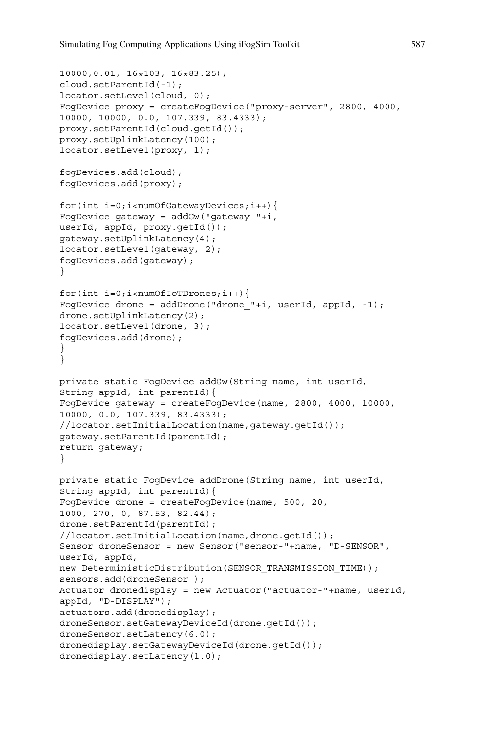Simulating Fog Computing Applications Using iFogSim Toolkit 587

```
10000,0.01, 16*103, 16*83.25);
cloud.setParentId(-1);
locator.setLevel(cloud, 0);
FogDevice proxy = createFogDevice("proxy-server", 2800, 4000,
10000, 10000, 0.0, 107.339, 83.4333);
proxy.setParentId(cloud.getId());
proxy.setUplinkLatency(100);
locator.setLevel(proxy, 1);
fogDevices.add(cloud);
fogDevices.add(proxy);
for(int i=0;i<numOfGatewayDevices;i++){
FogDevice gateway = addGw("gateway "+i,userId, appId, proxy.qetId());
gateway.setUplinkLatency(4);
locator.setLevel(gateway, 2);
fogDevices.add(gateway);
}
for(int i=0; i<numOfIoTDrones; i++) {
FogDevice drone = addDrone("drone "+i, userId, appId, -1);
drone.setUplinkLatency(2);
locator.setLevel(drone, 3);
fogDevices.add(drone);
}
}
private static FogDevice addGw(String name, int userId,
String appId, int parentId){
FogDevice gateway = createFogDevice(name, 2800, 4000, 10000,
10000, 0.0, 107.339, 83.4333);
//locator.setInitialLocation(name,gateway.getId());
gateway.setParentId(parentId);
return gateway;
}
private static FogDevice addDrone(String name, int userId,
String appId, int parentId){
FogDevice drone = createFogDevice(name, 500, 20,
1000, 270, 0, 87.53, 82.44);
drone.setParentId(parentId);
//locator.setInitialLocation(name,drone.getId());
Sensor droneSensor = new Sensor("sensor-"+name, "D-SENSOR",
userId, appId,
new DeterministicDistribution(SENSOR TRANSMISSION TIME));
sensors.add(droneSensor );
Actuator dronedisplay = new Actuator("actuator-"+name, userId,
appId, "D-DISPLAY");
actuators.add(dronedisplay);
droneSensor.setGatewayDeviceId(drone.getId());
droneSensor.setLatency(6.0);
dronedisplay.setGatewayDeviceId(drone.getId());
dronedisplay.setLatency(1.0);
```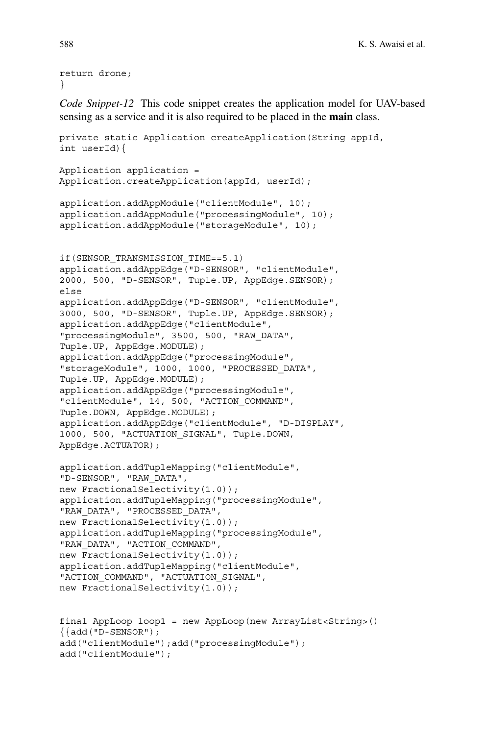```
return drone;
}
```
add("clientModule");

*Code Snippet-12* This code snippet creates the application model for UAV-based sensing as a service and it is also required to be placed in the **main** class.

```
private static Application createApplication(String appId,
int userId){
Application application =
Application.createApplication(appId, userId);
application.addAppModule("clientModule", 10);
application.addAppModule("processingModule", 10);
application.addAppModule("storageModule", 10);
if(SENSOR_TRANSMISSION_TIME==5.1)
application.addAppEdge("D-SENSOR", "clientModule",
2000, 500, "D-SENSOR", Tuple.UP, AppEdge.SENSOR);
else
application.addAppEdge("D-SENSOR", "clientModule",
3000, 500, "D-SENSOR", Tuple.UP, AppEdge.SENSOR);
application.addAppEdge("clientModule",
"processingModule", 3500, 500, "RAW_DATA",
Tuple.UP, AppEdge.MODULE);
application.addAppEdge("processingModule",
"storageModule", 1000, 1000, "PROCESSED_DATA",
Tuple.UP, AppEdge.MODULE);
application.addAppEdge("processingModule",
"clientModule", 14, 500, "ACTION_COMMAND",
Tuple.DOWN, AppEdge.MODULE);
application.addAppEdge("clientModule", "D-DISPLAY",
1000, 500, "ACTUATION_SIGNAL", Tuple.DOWN,
AppEdge.ACTUATOR);
application.addTupleMapping("clientModule",
"D-SENSOR", "RAW_DATA",
new FractionalSelectivity(1.0));
application.addTupleMapping("processingModule",
"RAW_DATA", "PROCESSED_DATA",
new FractionalSelectivity(1.0));
application.addTupleMapping("processingModule",
"RAW_DATA", "ACTION_COMMAND",
new FractionalSelectivity(1.0));
application.addTupleMapping("clientModule",
"ACTION COMMAND", "ACTUATION SIGNAL",
new FractionalSelectivity(1.0));
final AppLoop loop1 = new AppLoop(new ArrayList<String>()
\{{\{add(''D-SENSOR");
add("clientModule");add("processingModule");
```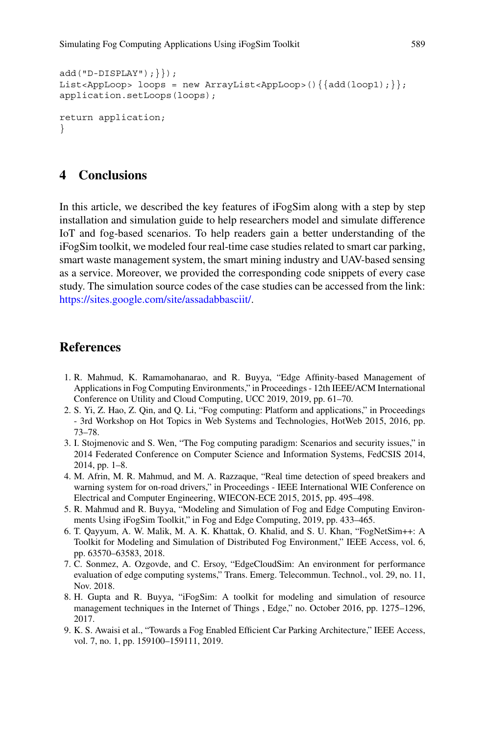```
add("D-DISPLAN");\};List<AppLoop> loops = new ArrayList<AppLoop>(){{add(loop1);}};
application.setLoops(loops);
return application;
}
```
# <span id="page-24-8"></span>**4 Conclusions**

In this article, we described the key features of iFogSim along with a step by step installation and simulation guide to help researchers model and simulate difference IoT and fog-based scenarios. To help readers gain a better understanding of the iFogSim toolkit, we modeled four real-time case studies related to smart car parking, smart waste management system, the smart mining industry and UAV-based sensing as a service. Moreover, we provided the corresponding code snippets of every case study. The simulation source codes of the case studies can be accessed from the link: [https://sites.google.com/site/assadabbasciit/.](https://sites.google.com/site/assadabbasciit/)

## **References**

- <span id="page-24-0"></span>1. R. Mahmud, K. Ramamohanarao, and R. Buyya, "Edge Affinity-based Management of Applications in Fog Computing Environments," in Proceedings - 12th IEEE/ACM International Conference on Utility and Cloud Computing, UCC 2019, 2019, pp. 61–70.
- <span id="page-24-1"></span>2. S. Yi, Z. Hao, Z. Qin, and Q. Li, "Fog computing: Platform and applications," in Proceedings - 3rd Workshop on Hot Topics in Web Systems and Technologies, HotWeb 2015, 2016, pp. 73–78.
- <span id="page-24-2"></span>3. I. Stojmenovic and S. Wen, "The Fog computing paradigm: Scenarios and security issues," in 2014 Federated Conference on Computer Science and Information Systems, FedCSIS 2014, 2014, pp. 1–8.
- <span id="page-24-3"></span>4. M. Afrin, M. R. Mahmud, and M. A. Razzaque, "Real time detection of speed breakers and warning system for on-road drivers," in Proceedings - IEEE International WIE Conference on Electrical and Computer Engineering, WIECON-ECE 2015, 2015, pp. 495–498.
- <span id="page-24-4"></span>5. R. Mahmud and R. Buyya, "Modeling and Simulation of Fog and Edge Computing Environments Using iFogSim Toolkit," in Fog and Edge Computing, 2019, pp. 433–465.
- <span id="page-24-5"></span>6. T. Qayyum, A. W. Malik, M. A. K. Khattak, O. Khalid, and S. U. Khan, "FogNetSim++: A Toolkit for Modeling and Simulation of Distributed Fog Environment," IEEE Access, vol. 6, pp. 63570–63583, 2018.
- <span id="page-24-6"></span>7. C. Sonmez, A. Ozgovde, and C. Ersoy, "EdgeCloudSim: An environment for performance evaluation of edge computing systems," Trans. Emerg. Telecommun. Technol., vol. 29, no. 11, Nov. 2018.
- <span id="page-24-7"></span>8. H. Gupta and R. Buyya, "iFogSim: A toolkit for modeling and simulation of resource management techniques in the Internet of Things , Edge," no. October 2016, pp. 1275–1296, 2017.
- <span id="page-24-9"></span>9. K. S. Awaisi et al., "Towards a Fog Enabled Efficient Car Parking Architecture," IEEE Access, vol. 7, no. 1, pp. 159100–159111, 2019.